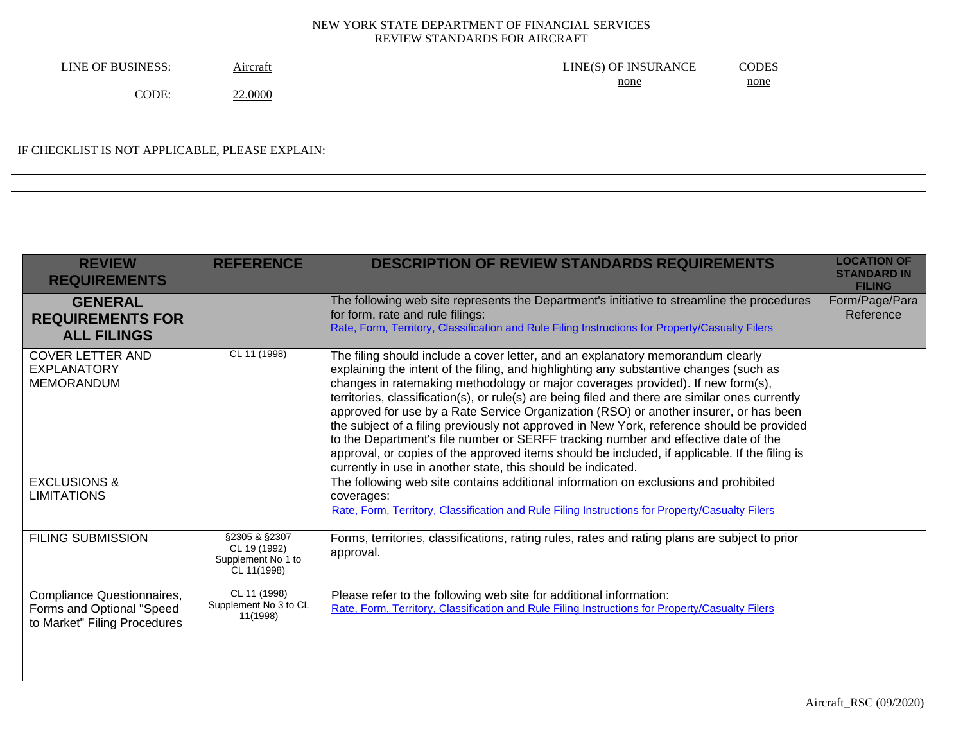| LINE OF BUSINESS: | Aircraft | LINE(S) OF INSURANCE | CODES       |
|-------------------|----------|----------------------|-------------|
|                   |          | none                 | <u>none</u> |
| CODE.             | 22.0000  |                      |             |

# IF CHECKLIST IS NOT APPLICABLE, PLEASE EXPLAIN:

| <b>REVIEW</b><br><b>REQUIREMENTS</b>                                                    | <b>REFERENCE</b>                                                   | <b>DESCRIPTION OF REVIEW STANDARDS REQUIREMENTS</b>                                                                                                                                                                                                                                                                                                                                                                                                                                                                                                                                                                                                                                                                                                                                                          | <b>LOCATION OF</b><br><b>STANDARD IN</b><br><b>FILING</b> |
|-----------------------------------------------------------------------------------------|--------------------------------------------------------------------|--------------------------------------------------------------------------------------------------------------------------------------------------------------------------------------------------------------------------------------------------------------------------------------------------------------------------------------------------------------------------------------------------------------------------------------------------------------------------------------------------------------------------------------------------------------------------------------------------------------------------------------------------------------------------------------------------------------------------------------------------------------------------------------------------------------|-----------------------------------------------------------|
| <b>GENERAL</b><br><b>REQUIREMENTS FOR</b><br><b>ALL FILINGS</b>                         |                                                                    | The following web site represents the Department's initiative to streamline the procedures<br>for form, rate and rule filings:<br>Rate, Form, Territory, Classification and Rule Filing Instructions for Property/Casualty Filers                                                                                                                                                                                                                                                                                                                                                                                                                                                                                                                                                                            | Form/Page/Para<br>Reference                               |
| <b>COVER LETTER AND</b><br><b>EXPLANATORY</b><br><b>MEMORANDUM</b>                      | CL 11 (1998)                                                       | The filing should include a cover letter, and an explanatory memorandum clearly<br>explaining the intent of the filing, and highlighting any substantive changes (such as<br>changes in ratemaking methodology or major coverages provided). If new form(s),<br>territories, classification(s), or rule(s) are being filed and there are similar ones currently<br>approved for use by a Rate Service Organization (RSO) or another insurer, or has been<br>the subject of a filing previously not approved in New York, reference should be provided<br>to the Department's file number or SERFF tracking number and effective date of the<br>approval, or copies of the approved items should be included, if applicable. If the filing is<br>currently in use in another state, this should be indicated. |                                                           |
| <b>EXCLUSIONS &amp;</b><br><b>LIMITATIONS</b>                                           |                                                                    | The following web site contains additional information on exclusions and prohibited<br>coverages:<br>Rate, Form, Territory, Classification and Rule Filing Instructions for Property/Casualty Filers                                                                                                                                                                                                                                                                                                                                                                                                                                                                                                                                                                                                         |                                                           |
| <b>FILING SUBMISSION</b>                                                                | §2305 & §2307<br>CL 19 (1992)<br>Supplement No 1 to<br>CL 11(1998) | Forms, territories, classifications, rating rules, rates and rating plans are subject to prior<br>approval.                                                                                                                                                                                                                                                                                                                                                                                                                                                                                                                                                                                                                                                                                                  |                                                           |
| Compliance Questionnaires,<br>Forms and Optional "Speed<br>to Market" Filing Procedures | CL 11 (1998)<br>Supplement No 3 to CL<br>11(1998)                  | Please refer to the following web site for additional information:<br>Rate, Form, Territory, Classification and Rule Filing Instructions for Property/Casualty Filers                                                                                                                                                                                                                                                                                                                                                                                                                                                                                                                                                                                                                                        |                                                           |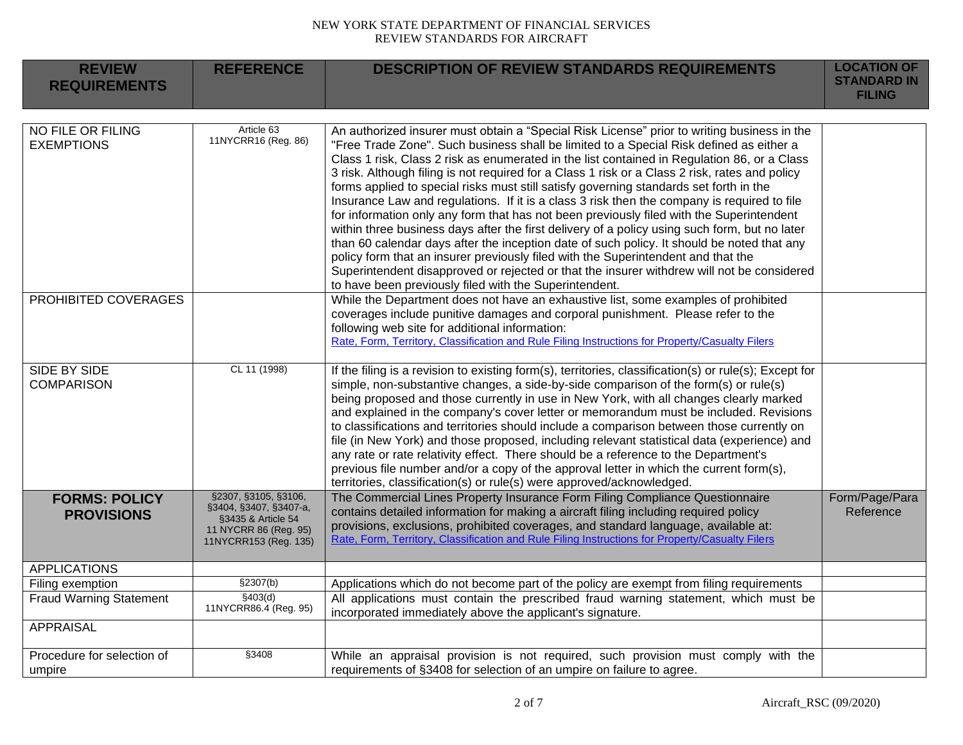| <b>REVIEW</b><br><b>REQUIREMENTS</b>      | <b>REFERENCE</b>                                                                                                       | <b>DESCRIPTION OF REVIEW STANDARDS REQUIREMENTS</b>                                                                                                                                                                                                                                                                                                                                                                                                                                                                                                                                                                                                                                                                                                                                                                                                                                                                                                                                                                                                                                                                      | <b>LOCATION OF</b><br><b>STANDARD IN</b> |
|-------------------------------------------|------------------------------------------------------------------------------------------------------------------------|--------------------------------------------------------------------------------------------------------------------------------------------------------------------------------------------------------------------------------------------------------------------------------------------------------------------------------------------------------------------------------------------------------------------------------------------------------------------------------------------------------------------------------------------------------------------------------------------------------------------------------------------------------------------------------------------------------------------------------------------------------------------------------------------------------------------------------------------------------------------------------------------------------------------------------------------------------------------------------------------------------------------------------------------------------------------------------------------------------------------------|------------------------------------------|
|                                           |                                                                                                                        |                                                                                                                                                                                                                                                                                                                                                                                                                                                                                                                                                                                                                                                                                                                                                                                                                                                                                                                                                                                                                                                                                                                          | <b>FILING</b>                            |
|                                           |                                                                                                                        |                                                                                                                                                                                                                                                                                                                                                                                                                                                                                                                                                                                                                                                                                                                                                                                                                                                                                                                                                                                                                                                                                                                          |                                          |
| NO FILE OR FILING<br><b>EXEMPTIONS</b>    | Article 63<br>11NYCRR16 (Reg. 86)                                                                                      | An authorized insurer must obtain a "Special Risk License" prior to writing business in the<br>"Free Trade Zone". Such business shall be limited to a Special Risk defined as either a<br>Class 1 risk, Class 2 risk as enumerated in the list contained in Regulation 86, or a Class<br>3 risk. Although filing is not required for a Class 1 risk or a Class 2 risk, rates and policy<br>forms applied to special risks must still satisfy governing standards set forth in the<br>Insurance Law and regulations. If it is a class 3 risk then the company is required to file<br>for information only any form that has not been previously filed with the Superintendent<br>within three business days after the first delivery of a policy using such form, but no later<br>than 60 calendar days after the inception date of such policy. It should be noted that any<br>policy form that an insurer previously filed with the Superintendent and that the<br>Superintendent disapproved or rejected or that the insurer withdrew will not be considered<br>to have been previously filed with the Superintendent. |                                          |
| PROHIBITED COVERAGES                      |                                                                                                                        | While the Department does not have an exhaustive list, some examples of prohibited<br>coverages include punitive damages and corporal punishment. Please refer to the<br>following web site for additional information:<br>Rate, Form, Territory, Classification and Rule Filing Instructions for Property/Casualty Filers                                                                                                                                                                                                                                                                                                                                                                                                                                                                                                                                                                                                                                                                                                                                                                                               |                                          |
| SIDE BY SIDE<br><b>COMPARISON</b>         | CL 11 (1998)                                                                                                           | If the filing is a revision to existing form(s), territories, classification(s) or rule(s); Except for<br>simple, non-substantive changes, a side-by-side comparison of the form(s) or rule(s)<br>being proposed and those currently in use in New York, with all changes clearly marked<br>and explained in the company's cover letter or memorandum must be included. Revisions<br>to classifications and territories should include a comparison between those currently on<br>file (in New York) and those proposed, including relevant statistical data (experience) and<br>any rate or rate relativity effect. There should be a reference to the Department's<br>previous file number and/or a copy of the approval letter in which the current form(s),<br>territories, classification(s) or rule(s) were approved/acknowledged.                                                                                                                                                                                                                                                                                 |                                          |
| <b>FORMS: POLICY</b><br><b>PROVISIONS</b> | §2307, §3105, §3106,<br>§3404, §3407, §3407-a,<br>§3435 & Article 54<br>11 NYCRR 86 (Reg. 95)<br>11NYCRR153 (Reg. 135) | The Commercial Lines Property Insurance Form Filing Compliance Questionnaire<br>contains detailed information for making a aircraft filing including required policy<br>provisions, exclusions, prohibited coverages, and standard language, available at:<br>Rate, Form, Territory, Classification and Rule Filing Instructions for Property/Casualty Filers                                                                                                                                                                                                                                                                                                                                                                                                                                                                                                                                                                                                                                                                                                                                                            | Form/Page/Para<br>Reference              |
| <b>APPLICATIONS</b>                       |                                                                                                                        |                                                                                                                                                                                                                                                                                                                                                                                                                                                                                                                                                                                                                                                                                                                                                                                                                                                                                                                                                                                                                                                                                                                          |                                          |
| Filing exemption                          | \$2307(b)                                                                                                              | Applications which do not become part of the policy are exempt from filing requirements                                                                                                                                                                                                                                                                                                                                                                                                                                                                                                                                                                                                                                                                                                                                                                                                                                                                                                                                                                                                                                  |                                          |
| <b>Fraud Warning Statement</b>            | \$403(d)<br>11NYCRR86.4 (Reg. 95)                                                                                      | All applications must contain the prescribed fraud warning statement, which must be<br>incorporated immediately above the applicant's signature.                                                                                                                                                                                                                                                                                                                                                                                                                                                                                                                                                                                                                                                                                                                                                                                                                                                                                                                                                                         |                                          |
| <b>APPRAISAL</b>                          |                                                                                                                        |                                                                                                                                                                                                                                                                                                                                                                                                                                                                                                                                                                                                                                                                                                                                                                                                                                                                                                                                                                                                                                                                                                                          |                                          |
| Procedure for selection of<br>umpire      | §3408                                                                                                                  | While an appraisal provision is not required, such provision must comply with the<br>requirements of §3408 for selection of an umpire on failure to agree.                                                                                                                                                                                                                                                                                                                                                                                                                                                                                                                                                                                                                                                                                                                                                                                                                                                                                                                                                               |                                          |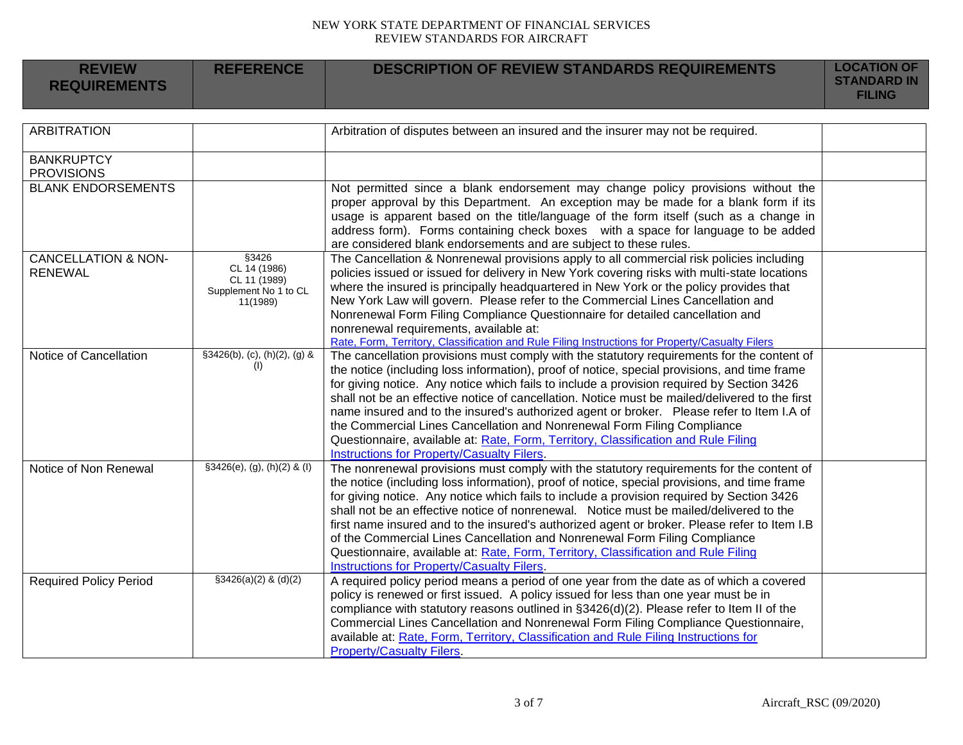| <b>REVIEW</b><br><b>REQUIREMENTS</b>             | <b>REFERENCE</b>                                                           | <b>DESCRIPTION OF REVIEW STANDARDS REQUIREMENTS</b>                                                                                                                                                                                                                                                                                                                                                                                                                                                                                                                                                                                                                                                    | <b>LOCATION OF</b><br><b>STANDARD IN</b><br><b>FILING</b> |
|--------------------------------------------------|----------------------------------------------------------------------------|--------------------------------------------------------------------------------------------------------------------------------------------------------------------------------------------------------------------------------------------------------------------------------------------------------------------------------------------------------------------------------------------------------------------------------------------------------------------------------------------------------------------------------------------------------------------------------------------------------------------------------------------------------------------------------------------------------|-----------------------------------------------------------|
|                                                  |                                                                            |                                                                                                                                                                                                                                                                                                                                                                                                                                                                                                                                                                                                                                                                                                        |                                                           |
| <b>ARBITRATION</b>                               |                                                                            | Arbitration of disputes between an insured and the insurer may not be required.                                                                                                                                                                                                                                                                                                                                                                                                                                                                                                                                                                                                                        |                                                           |
| <b>BANKRUPTCY</b><br><b>PROVISIONS</b>           |                                                                            |                                                                                                                                                                                                                                                                                                                                                                                                                                                                                                                                                                                                                                                                                                        |                                                           |
| <b>BLANK ENDORSEMENTS</b>                        |                                                                            | Not permitted since a blank endorsement may change policy provisions without the<br>proper approval by this Department. An exception may be made for a blank form if its<br>usage is apparent based on the title/language of the form itself (such as a change in<br>address form). Forms containing check boxes with a space for language to be added<br>are considered blank endorsements and are subject to these rules.                                                                                                                                                                                                                                                                            |                                                           |
| <b>CANCELLATION &amp; NON-</b><br><b>RENEWAL</b> | §3426<br>CL 14 (1986)<br>CL 11 (1989)<br>Supplement No 1 to CL<br>11(1989) | The Cancellation & Nonrenewal provisions apply to all commercial risk policies including<br>policies issued or issued for delivery in New York covering risks with multi-state locations<br>where the insured is principally headquartered in New York or the policy provides that<br>New York Law will govern. Please refer to the Commercial Lines Cancellation and<br>Nonrenewal Form Filing Compliance Questionnaire for detailed cancellation and<br>nonrenewal requirements, available at:<br>Rate, Form, Territory, Classification and Rule Filing Instructions for Property/Casualty Filers                                                                                                    |                                                           |
| Notice of Cancellation                           | §3426(b), (c), (h)(2), (g) &<br>(1)                                        | The cancellation provisions must comply with the statutory requirements for the content of<br>the notice (including loss information), proof of notice, special provisions, and time frame<br>for giving notice. Any notice which fails to include a provision required by Section 3426<br>shall not be an effective notice of cancellation. Notice must be mailed/delivered to the first<br>name insured and to the insured's authorized agent or broker.  Please refer to Item I.A of<br>the Commercial Lines Cancellation and Nonrenewal Form Filing Compliance<br>Questionnaire, available at: Rate, Form, Territory, Classification and Rule Filing<br>Instructions for Property/Casualty Filers. |                                                           |
| Notice of Non Renewal                            | $§3426(e), (g), (h)(2)$ & (I)                                              | The nonrenewal provisions must comply with the statutory requirements for the content of<br>the notice (including loss information), proof of notice, special provisions, and time frame<br>for giving notice. Any notice which fails to include a provision required by Section 3426<br>shall not be an effective notice of nonrenewal. Notice must be mailed/delivered to the<br>first name insured and to the insured's authorized agent or broker. Please refer to Item I.B<br>of the Commercial Lines Cancellation and Nonrenewal Form Filing Compliance<br>Questionnaire, available at: Rate, Form, Territory, Classification and Rule Filing<br>Instructions for Property/Casualty Filers.      |                                                           |
| <b>Required Policy Period</b>                    | $$3426(a)(2)$ & (d)(2)                                                     | A required policy period means a period of one year from the date as of which a covered<br>policy is renewed or first issued. A policy issued for less than one year must be in<br>compliance with statutory reasons outlined in §3426(d)(2). Please refer to Item II of the<br>Commercial Lines Cancellation and Nonrenewal Form Filing Compliance Questionnaire,<br>available at: Rate, Form, Territory, Classification and Rule Filing Instructions for<br><b>Property/Casualty Filers.</b>                                                                                                                                                                                                         |                                                           |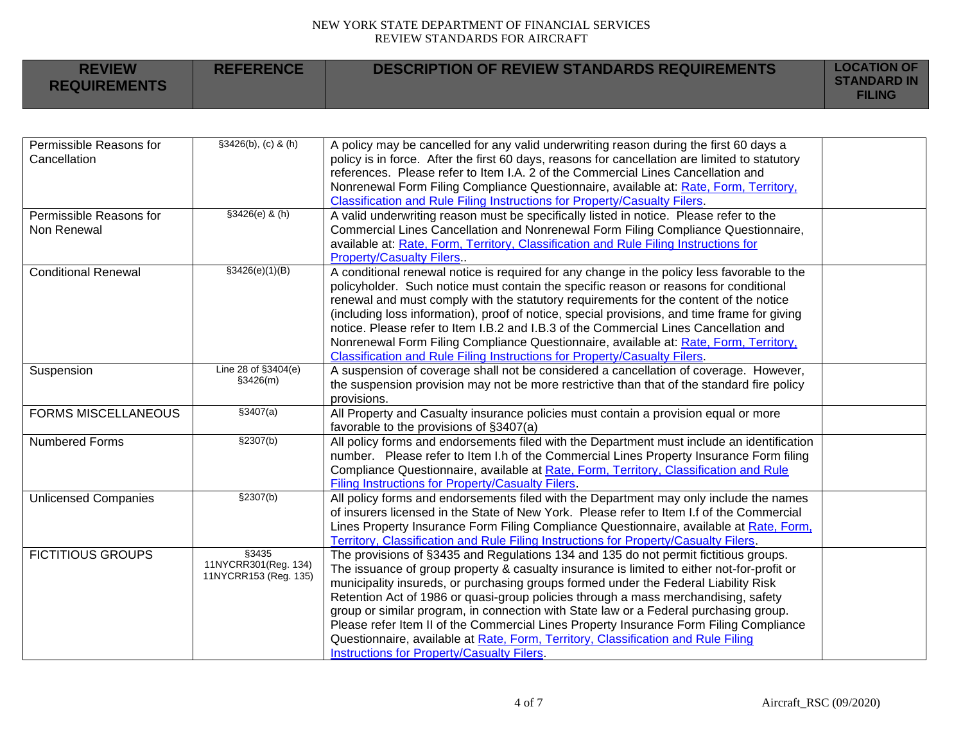| <b>REVIEW</b><br><b>REQUIREMENTS</b> | <b>REFERENCE</b> | <b>DESCRIPTION OF REVIEW STANDARDS REQUIREMENTS</b> | <b>LOCATION OF</b><br><b>STANDARD IN</b><br><b>FILING</b> |
|--------------------------------------|------------------|-----------------------------------------------------|-----------------------------------------------------------|
|                                      |                  |                                                     |                                                           |

| Permissible Reasons for     | $$3426(b), (c)$ & (h) | A policy may be cancelled for any valid underwriting reason during the first 60 days a         |  |
|-----------------------------|-----------------------|------------------------------------------------------------------------------------------------|--|
| Cancellation                |                       | policy is in force. After the first 60 days, reasons for cancellation are limited to statutory |  |
|                             |                       | references. Please refer to Item I.A. 2 of the Commercial Lines Cancellation and               |  |
|                             |                       | Nonrenewal Form Filing Compliance Questionnaire, available at: Rate, Form, Territory,          |  |
|                             |                       | Classification and Rule Filing Instructions for Property/Casualty Filers.                      |  |
| Permissible Reasons for     | §3426(e) & (h)        | A valid underwriting reason must be specifically listed in notice. Please refer to the         |  |
| Non Renewal                 |                       | Commercial Lines Cancellation and Nonrenewal Form Filing Compliance Questionnaire,             |  |
|                             |                       | available at: Rate, Form, Territory, Classification and Rule Filing Instructions for           |  |
|                             |                       | <b>Property/Casualty Filers</b>                                                                |  |
| <b>Conditional Renewal</b>  | \$3426(e)(1)(B)       | A conditional renewal notice is required for any change in the policy less favorable to the    |  |
|                             |                       | policyholder. Such notice must contain the specific reason or reasons for conditional          |  |
|                             |                       | renewal and must comply with the statutory requirements for the content of the notice          |  |
|                             |                       | (including loss information), proof of notice, special provisions, and time frame for giving   |  |
|                             |                       | notice. Please refer to Item I.B.2 and I.B.3 of the Commercial Lines Cancellation and          |  |
|                             |                       | Nonrenewal Form Filing Compliance Questionnaire, available at: Rate, Form, Territory,          |  |
|                             |                       | Classification and Rule Filing Instructions for Property/Casualty Filers.                      |  |
| Suspension                  | Line 28 of §3404(e)   | A suspension of coverage shall not be considered a cancellation of coverage. However,          |  |
|                             | \$3426(m)             | the suspension provision may not be more restrictive than that of the standard fire policy     |  |
|                             |                       | provisions.                                                                                    |  |
| <b>FORMS MISCELLANEOUS</b>  | \$3407(a)             | All Property and Casualty insurance policies must contain a provision equal or more            |  |
|                             |                       | favorable to the provisions of §3407(a)                                                        |  |
| Numbered Forms              | \$2307(b)             | All policy forms and endorsements filed with the Department must include an identification     |  |
|                             |                       | number. Please refer to Item I.h of the Commercial Lines Property Insurance Form filing        |  |
|                             |                       | Compliance Questionnaire, available at Rate, Form, Territory, Classification and Rule          |  |
|                             |                       | Filing Instructions for Property/Casualty Filers.                                              |  |
| <b>Unlicensed Companies</b> | \$2307(b)             | All policy forms and endorsements filed with the Department may only include the names         |  |
|                             |                       | of insurers licensed in the State of New York. Please refer to Item I.f of the Commercial      |  |
|                             |                       | Lines Property Insurance Form Filing Compliance Questionnaire, available at Rate, Form,        |  |
|                             |                       | Territory, Classification and Rule Filing Instructions for Property/Casualty Filers.           |  |
| <b>FICTITIOUS GROUPS</b>    | \$3435                | The provisions of §3435 and Regulations 134 and 135 do not permit fictitious groups.           |  |
|                             | 11NYCRR301(Reg. 134)  | The issuance of group property & casualty insurance is limited to either not-for-profit or     |  |
|                             | 11NYCRR153 (Reg. 135) | municipality insureds, or purchasing groups formed under the Federal Liability Risk            |  |
|                             |                       | Retention Act of 1986 or quasi-group policies through a mass merchandising, safety             |  |
|                             |                       | group or similar program, in connection with State law or a Federal purchasing group.          |  |
|                             |                       | Please refer Item II of the Commercial Lines Property Insurance Form Filing Compliance         |  |
|                             |                       | Questionnaire, available at Rate, Form, Territory, Classification and Rule Filing              |  |
|                             |                       | Instructions for Property/Casualty Filers.                                                     |  |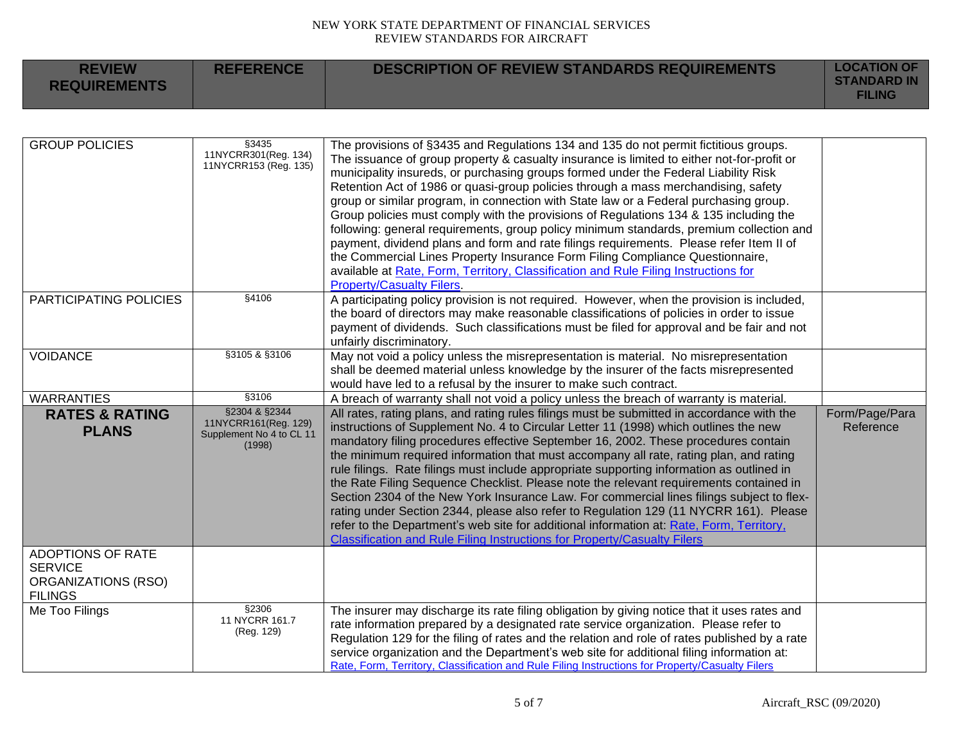| <b>REVIEW</b><br><b>REQUIREMENTS</b> | <b>REFERENCE</b> | DESCRIPTION OF REVIEW STANDARDS REQUIREMENTS | <b>LOCATION OF</b><br><b>STANDARD IN</b><br><b>FILING</b> |
|--------------------------------------|------------------|----------------------------------------------|-----------------------------------------------------------|
|--------------------------------------|------------------|----------------------------------------------|-----------------------------------------------------------|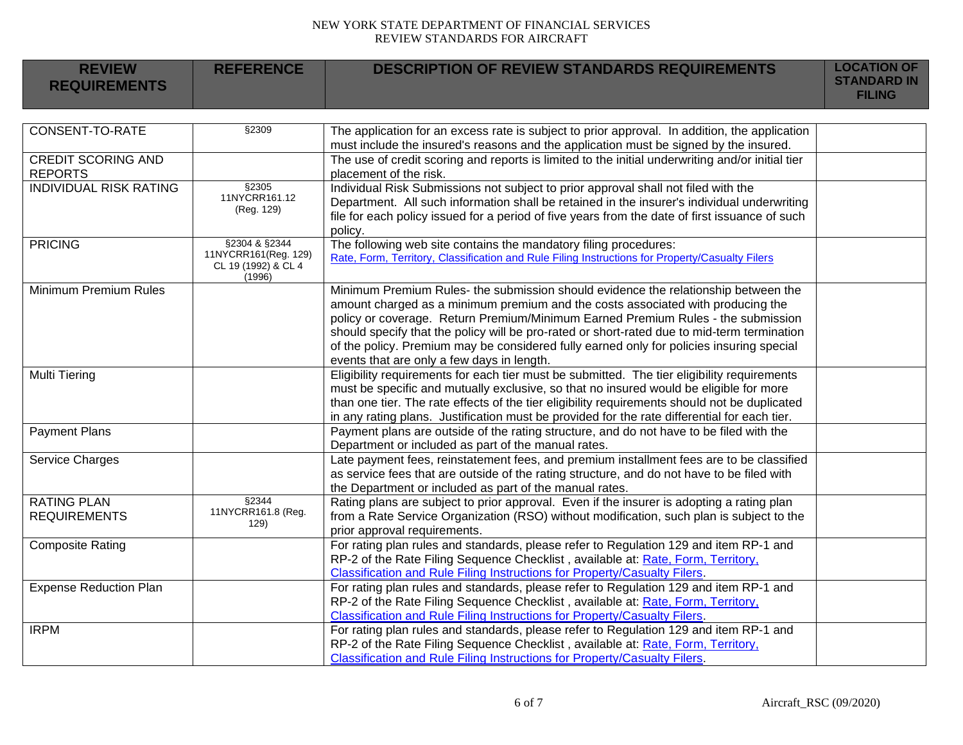| <b>REVIEW</b>                                   | <b>REFERENCE</b>                            | <b>DESCRIPTION OF REVIEW STANDARDS REQUIREMENTS</b>                                                                                                                                   | <b>LOCATION OF</b><br><b>STANDARD IN</b> |
|-------------------------------------------------|---------------------------------------------|---------------------------------------------------------------------------------------------------------------------------------------------------------------------------------------|------------------------------------------|
| <b>REQUIREMENTS</b>                             |                                             |                                                                                                                                                                                       | <b>FILING</b>                            |
|                                                 |                                             |                                                                                                                                                                                       |                                          |
| CONSENT-TO-RATE                                 | §2309                                       | The application for an excess rate is subject to prior approval. In addition, the application                                                                                         |                                          |
|                                                 |                                             | must include the insured's reasons and the application must be signed by the insured.                                                                                                 |                                          |
| <b>CREDIT SCORING AND</b>                       |                                             | The use of credit scoring and reports is limited to the initial underwriting and/or initial tier                                                                                      |                                          |
| <b>REPORTS</b><br><b>INDIVIDUAL RISK RATING</b> | §2305                                       | placement of the risk.                                                                                                                                                                |                                          |
|                                                 | 11NYCRR161.12                               | Individual Risk Submissions not subject to prior approval shall not filed with the<br>Department. All such information shall be retained in the insurer's individual underwriting     |                                          |
|                                                 | (Reg. 129)                                  | file for each policy issued for a period of five years from the date of first issuance of such                                                                                        |                                          |
|                                                 |                                             | policy.                                                                                                                                                                               |                                          |
| <b>PRICING</b>                                  | §2304 & §2344                               | The following web site contains the mandatory filing procedures:                                                                                                                      |                                          |
|                                                 | 11NYCRR161(Reg. 129)<br>CL 19 (1992) & CL 4 | Rate, Form, Territory, Classification and Rule Filing Instructions for Property/Casualty Filers                                                                                       |                                          |
|                                                 | (1996)                                      |                                                                                                                                                                                       |                                          |
| <b>Minimum Premium Rules</b>                    |                                             | Minimum Premium Rules- the submission should evidence the relationship between the                                                                                                    |                                          |
|                                                 |                                             | amount charged as a minimum premium and the costs associated with producing the                                                                                                       |                                          |
|                                                 |                                             | policy or coverage. Return Premium/Minimum Earned Premium Rules - the submission                                                                                                      |                                          |
|                                                 |                                             | should specify that the policy will be pro-rated or short-rated due to mid-term termination                                                                                           |                                          |
|                                                 |                                             | of the policy. Premium may be considered fully earned only for policies insuring special                                                                                              |                                          |
| <b>Multi Tiering</b>                            |                                             | events that are only a few days in length.<br>Eligibility requirements for each tier must be submitted. The tier eligibility requirements                                             |                                          |
|                                                 |                                             | must be specific and mutually exclusive, so that no insured would be eligible for more                                                                                                |                                          |
|                                                 |                                             | than one tier. The rate effects of the tier eligibility requirements should not be duplicated                                                                                         |                                          |
|                                                 |                                             | in any rating plans. Justification must be provided for the rate differential for each tier.                                                                                          |                                          |
| <b>Payment Plans</b>                            |                                             | Payment plans are outside of the rating structure, and do not have to be filed with the                                                                                               |                                          |
|                                                 |                                             | Department or included as part of the manual rates.                                                                                                                                   |                                          |
| Service Charges                                 |                                             | Late payment fees, reinstatement fees, and premium installment fees are to be classified                                                                                              |                                          |
|                                                 |                                             | as service fees that are outside of the rating structure, and do not have to be filed with                                                                                            |                                          |
|                                                 | \$2344                                      | the Department or included as part of the manual rates.                                                                                                                               |                                          |
| <b>RATING PLAN</b><br><b>REQUIREMENTS</b>       | 11NYCRR161.8 (Reg.                          | Rating plans are subject to prior approval. Even if the insurer is adopting a rating plan<br>from a Rate Service Organization (RSO) without modification, such plan is subject to the |                                          |
|                                                 | 129)                                        | prior approval requirements.                                                                                                                                                          |                                          |
| <b>Composite Rating</b>                         |                                             | For rating plan rules and standards, please refer to Regulation 129 and item RP-1 and                                                                                                 |                                          |
|                                                 |                                             | RP-2 of the Rate Filing Sequence Checklist, available at: Rate, Form, Territory,                                                                                                      |                                          |
|                                                 |                                             | Classification and Rule Filing Instructions for Property/Casualty Filers.                                                                                                             |                                          |
| <b>Expense Reduction Plan</b>                   |                                             | For rating plan rules and standards, please refer to Regulation 129 and item RP-1 and                                                                                                 |                                          |
|                                                 |                                             | RP-2 of the Rate Filing Sequence Checklist, available at: Rate, Form, Territory,                                                                                                      |                                          |
|                                                 |                                             | Classification and Rule Filing Instructions for Property/Casualty Filers.                                                                                                             |                                          |
| <b>IRPM</b>                                     |                                             | For rating plan rules and standards, please refer to Regulation 129 and item RP-1 and                                                                                                 |                                          |
|                                                 |                                             | RP-2 of the Rate Filing Sequence Checklist, available at: Rate, Form, Territory,                                                                                                      |                                          |
|                                                 |                                             | Classification and Rule Filing Instructions for Property/Casualty Filers.                                                                                                             |                                          |